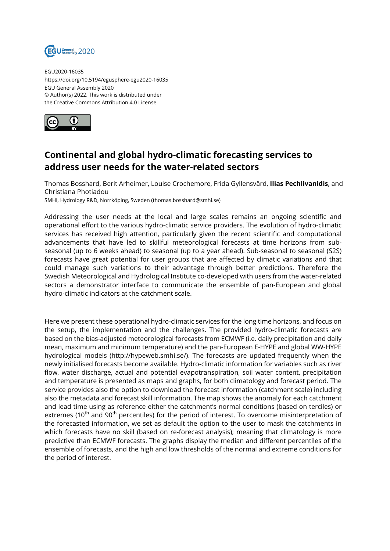

EGU2020-16035 https://doi.org/10.5194/egusphere-egu2020-16035 EGU General Assembly 2020 © Author(s) 2022. This work is distributed under the Creative Commons Attribution 4.0 License.



## **Continental and global hydro-climatic forecasting services to address user needs for the water-related sectors**

Thomas Bosshard, Berit Arheimer, Louise Crochemore, Frida Gyllensvärd, **Ilias Pechlivanidis**, and Christiana Photiadou

SMHI, Hydrology R&D, Norrköping, Sweden (thomas.bosshard@smhi.se)

Addressing the user needs at the local and large scales remains an ongoing scientific and operational effort to the various hydro-climatic service providers. The evolution of hydro-climatic services has received high attention, particularly given the recent scientific and computational advancements that have led to skillful meteorological forecasts at time horizons from subseasonal (up to 6 weeks ahead) to seasonal (up to a year ahead). Sub-seasonal to seasonal (S2S) forecasts have great potential for user groups that are affected by climatic variations and that could manage such variations to their advantage through better predictions. Therefore the Swedish Meteorological and Hydrological Institute co-developed with users from the water-related sectors a demonstrator interface to communicate the ensemble of pan-European and global hydro-climatic indicators at the catchment scale.

Here we present these operational hydro-climatic services for the long time horizons, and focus on the setup, the implementation and the challenges. The provided hydro-climatic forecasts are based on the bias-adjusted meteorological forecasts from ECMWF (i.e. daily precipitation and daily mean, maximum and minimum temperature) and the pan-European E-HYPE and global WW-HYPE hydrological models (http://hypeweb.smhi.se/). The forecasts are updated frequently when the newly initialised forecasts become available. Hydro-climatic information for variables such as river flow, water discharge, actual and potential evapotranspiration, soil water content, precipitation and temperature is presented as maps and graphs, for both climatology and forecast period. The service provides also the option to download the forecast information (catchment scale) including also the metadata and forecast skill information. The map shows the anomaly for each catchment and lead time using as reference either the catchment's normal conditions (based on terciles) or extremes (10<sup>th</sup> and 90<sup>th</sup> percentiles) for the period of interest. To overcome misinterpretation of the forecasted information, we set as default the option to the user to mask the catchments in which forecasts have no skill (based on re-forecast analysis); meaning that climatology is more predictive than ECMWF forecasts. The graphs display the median and different percentiles of the ensemble of forecasts, and the high and low thresholds of the normal and extreme conditions for the period of interest.